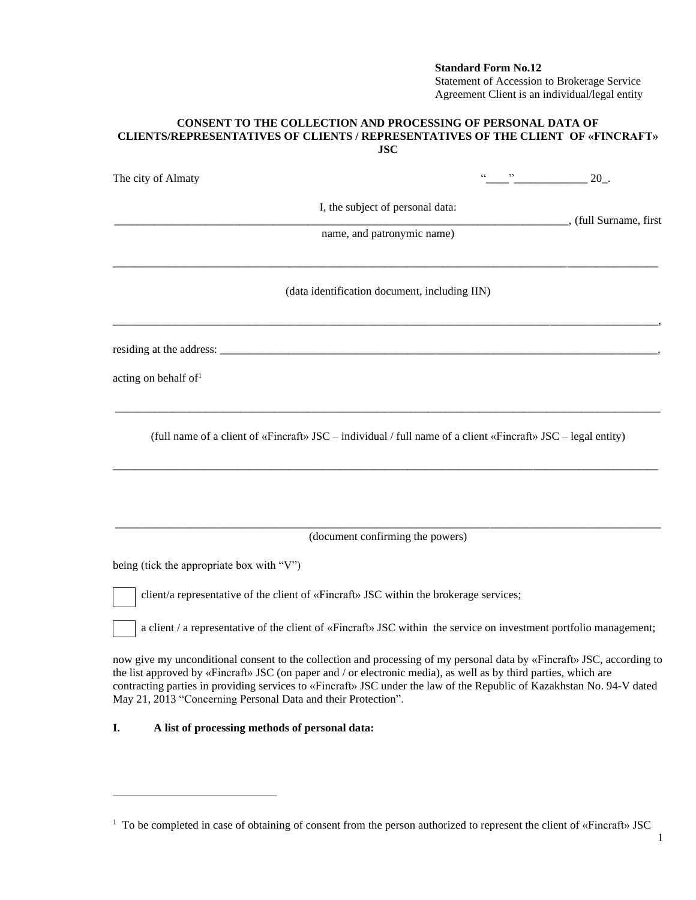## **Standard Form No.12**

Statement of Accession to Brokerage Service Agreement Client is an individual/legal entity

## **CONSENT TO THE COLLECTION AND PROCESSING OF PERSONAL DATA OF CLIENTS/REPRESENTATIVES OF CLIENTS / REPRESENTATIVES OF THE CLIENT OF «FINCRAFT» JSC**

| The city of Almaty                                                                                                                                                                                                                                                                                                                                                                                                                    |  | 20.                    |
|---------------------------------------------------------------------------------------------------------------------------------------------------------------------------------------------------------------------------------------------------------------------------------------------------------------------------------------------------------------------------------------------------------------------------------------|--|------------------------|
| I, the subject of personal data:                                                                                                                                                                                                                                                                                                                                                                                                      |  |                        |
| name, and patronymic name)                                                                                                                                                                                                                                                                                                                                                                                                            |  | , (full Surname, first |
| (data identification document, including IIN)                                                                                                                                                                                                                                                                                                                                                                                         |  |                        |
|                                                                                                                                                                                                                                                                                                                                                                                                                                       |  |                        |
| acting on behalf of <sup>1</sup>                                                                                                                                                                                                                                                                                                                                                                                                      |  |                        |
| (full name of a client of «Fincraft» JSC – individual / full name of a client «Fincraft» JSC – legal entity)                                                                                                                                                                                                                                                                                                                          |  |                        |
| (document confirming the powers)                                                                                                                                                                                                                                                                                                                                                                                                      |  |                        |
| being (tick the appropriate box with "V")                                                                                                                                                                                                                                                                                                                                                                                             |  |                        |
| client/a representative of the client of «Fincraft» JSC within the brokerage services;                                                                                                                                                                                                                                                                                                                                                |  |                        |
| a client / a representative of the client of «Fincraft» JSC within the service on investment portfolio management;                                                                                                                                                                                                                                                                                                                    |  |                        |
| now give my unconditional consent to the collection and processing of my personal data by «Fineraft» JSC, according to<br>the list approved by «Fincraft» JSC (on paper and / or electronic media), as well as by third parties, which are<br>contracting parties in providing services to «Fincraft» JSC under the law of the Republic of Kazakhstan No. 94-V dated<br>May 21, 2013 "Concerning Personal Data and their Protection". |  |                        |

## **I. A list of processing methods of personal data:**

<sup>&</sup>lt;sup>1</sup> To be completed in case of obtaining of consent from the person authorized to represent the client of «Fincraft» JSC